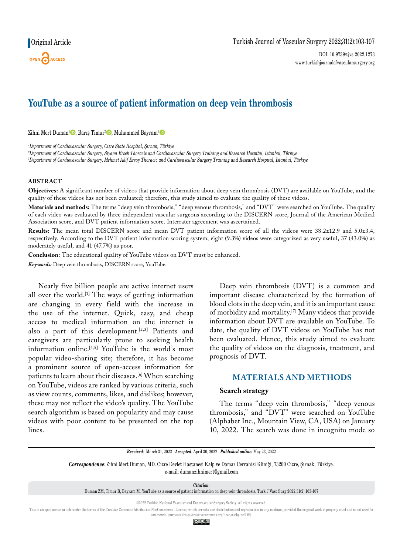# **YouTube as a source of patient information on deep vein thrombosis**

Zihni Mert Duman<sup>1</sup><sup>®</sup>, Barış Timur<sup>2</sup>®, Muhammed Bayram<sup>3</sup>

*1 Department of Cardiovascular Surgery, Cizre State Hospital, Şırnak, Türkiye*

*2 Department of Cardiovascular Surgery, Siyami Ersek Thoracic and Cardiovascular Surgery Training and Research Hospital, Istanbul, Türkiye*

*3 Department of Cardiovascular Surgery, Mehmet Akif Ersoy Thoracic and Cardiovascular Surgery Training and Research Hospital, Istanbul, Türkiye*

### **ABSTRACT**

**Objectives:** A significant number of videos that provide information about deep vein thrombosis (DVT) are available on YouTube, and the quality of these videos has not been evaluated; therefore, this study aimed to evaluate the quality of these videos.

**Materials and methods:** The terms "deep vein thrombosis," "deep venous thrombosis," and "DVT" were searched on YouTube. The quality of each video was evaluated by three independent vascular surgeons according to the DISCERN score, Journal of the American Medical Association score, and DVT patient information score. Interrater agreement was ascertained.

**Results:** The mean total DISCERN score and mean DVT patient information score of all the videos were 38.2±12.9 and 5.0±3.4, respectively. According to the DVT patient information scoring system, eight (9.3%) videos were categorized as very useful, 37 (43.0%) as moderately useful, and 41 (47.7%) as poor.

**Conclusion:** The educational quality of YouTube videos on DVT must be enhanced.

*Keywords:* Deep vein thrombosis, DISCERN score, YouTube.

Nearly five billion people are active internet users all over the world.[1] The ways of getting information are changing in every field with the increase in the use of the internet. Quick, easy, and cheap access to medical information on the internet is also a part of this development.<sup>[2,3]</sup> Patients and caregivers are particularly prone to seeking health information online.<sup>[4,5]</sup> YouTube is the world's most popular video-sharing site; therefore, it has become a prominent source of open-access information for patients to learn about their diseases.[6] When searching on YouTube, videos are ranked by various criteria, such as view counts, comments, likes, and dislikes; however, these may not reflect the video's quality. The YouTube search algorithm is based on popularity and may cause videos with poor content to be presented on the top lines.

Deep vein thrombosis (DVT) is a common and important disease characterized by the formation of blood clots in the deep vein, and it is an important cause of morbidity and mortality.[7] Many videos that provide information about DVT are available on YouTube. To date, the quality of DVT videos on YouTube has not been evaluated. Hence, this study aimed to evaluate the quality of videos on the diagnosis, treatment, and prognosis of DVT.

## **Materials AND METHODS**

## **Search strategy**

The terms "deep vein thrombosis," "deep venous thrombosis," and "DVT" were searched on YouTube (Alphabet Inc., Mountain View, CA, USA) on January 10, 2022. The search was done in incognito mode so

*Received:* March 31, 2022 *Accepted:* April 30, 2022 *Published online:* May 23, 2022

*Correspondence:* Zihni Mert Duman, MD. Cizre Devlet Hastanesi Kalp ve Damar Cerrahisi Kliniği, 73200 Cizre, Şırnak, Türkiye. e-mail: dumanzihnimert@gmail.com

*Citation:*

This is an open access article under the terms of the Creative Commons Attribution-NonCommercial License, which permits use, distribution and reproduction in any medium, provided the original work is properly cited and is commercial purposes (http://creativecommons.org/licenses/by-nc/4.0/).

© 0ි

Duman ZM, Timur B, Bayram M. YouTube as a source of patient information on deep vein thrombosis. Turk J Vasc Surg 2022;31(2):103-107

<sup>©2022</sup> Turkish National Vascular and Endovascular Surgery Society. All rights reserved.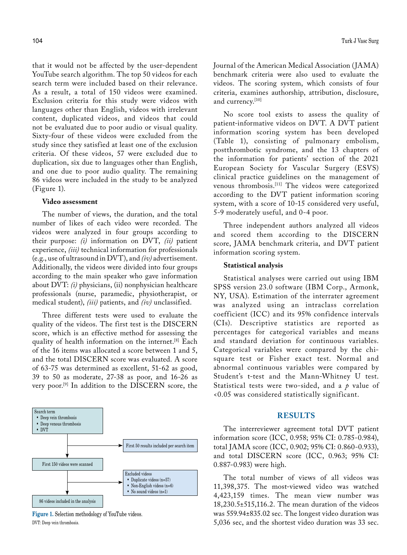that it would not be affected by the user-dependent YouTube search algorithm. The top 50 videos for each search term were included based on their relevance. As a result, a total of 150 videos were examined. Exclusion criteria for this study were videos with languages other than English, videos with irrelevant content, duplicated videos, and videos that could not be evaluated due to poor audio or visual quality. Sixty-four of these videos were excluded from the study since they satisfied at least one of the exclusion criteria. Of these videos, 57 were excluded due to duplication, six due to languages other than English, and one due to poor audio quality. The remaining 86 videos were included in the study to be analyzed (Figure 1).

#### **Video assessment**

The number of views, the duration, and the total number of likes of each video were recorded. The videos were analyzed in four groups according to their purpose: *(i)* information on DVT, *(ii)* patient experience, *(iii)* technical information for professionals (e.g., use of ultrasound in DVT), and *(iv)* advertisement. Additionally, the videos were divided into four groups according to the main speaker who gave information about DVT: *(i)* physicians, (ii) nonphysician healthcare professionals (nurse, paramedic, physiotherapist, or medical student), *(iii)* patients, and *(iv)* unclassified.

Three different tests were used to evaluate the quality of the videos. The first test is the DISCERN score, which is an effective method for assessing the quality of health information on the internet.[8] Each of the 16 items was allocated a score between 1 and 5, and the total DISCERN score was evaluated. A score of 63-75 was determined as excellent, 51-62 as good, 39 to 50 as moderate, 27-38 as poor, and 16-26 as very poor.[9] In addition to the DISCERN score, the



**Figure 1.** Selection methodology of YouTube videos. DVT: Deep vein thrombosis.

Journal of the American Medical Association (JAMA) benchmark criteria were also used to evaluate the videos. The scoring system, which consists of four criteria, examines authorship, attribution, disclosure, and currency.[10]

No score tool exists to assess the quality of patient-informative videos on DVT. A DVT patient information scoring system has been developed (Table 1), consisting of pulmonary embolism, postthrombotic syndrome, and the 13 chapters of the information for patients' section of the 2021 European Society for Vascular Surgery (ESVS) clinical practice guidelines on the management of venous thrombosis.[11] The videos were categorized according to the DVT patient information scoring system, with a score of 10-15 considered very useful, 5-9 moderately useful, and 0-4 poor.

Three independent authors analyzed all videos and scored them according to the DISCERN score, JAMA benchmark criteria, and DVT patient information scoring system.

#### **Statistical analysis**

Statistical analyses were carried out using IBM SPSS version 23.0 software (IBM Corp., Armonk, NY, USA). Estimation of the interrater agreement was analyzed using an intraclass correlation coefficient (ICC) and its 95% confidence intervals (CIs). Descriptive statistics are reported as percentages for categorical variables and means and standard deviation for continuous variables. Categorical variables were compared by the chisquare test or Fisher exact test. Normal and abnormal continuous variables were compared by Student's t-test and the Mann-Whitney U test. Statistical tests were two-sided, and a *p* value of <0.05 was considered statistically significant.

## **RESULTS**

The interreviewer agreement total DVT patient information score (ICC, 0.958; 95% CI: 0.785-0.984), total JAMA score (ICC, 0.902; 95% CI: 0.860-0.933), and total DISCERN score (ICC, 0.963; 95% CI: 0.887-0.983) were high.

The total number of views of all videos was 11,398,375. The most-viewed video was watched 4,423,159 times. The mean view number was 18,230.5±515,116.2. The mean duration of the videos was 559.94±835.02 sec. The longest video duration was 5,036 sec, and the shortest video duration was 33 sec.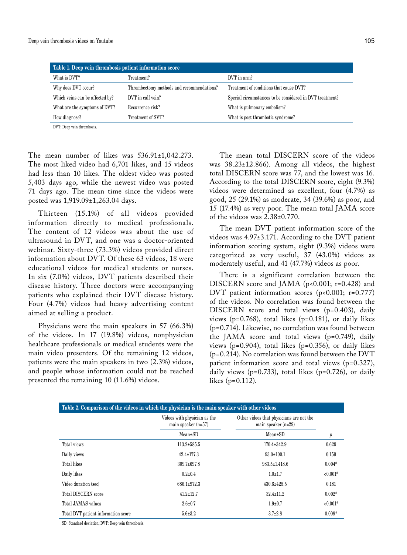| Table 1. Deep vein thrombosis patient information score |                                           |                                                          |  |
|---------------------------------------------------------|-------------------------------------------|----------------------------------------------------------|--|
| What is DVT?                                            | Treatment?                                | DVT in arm?                                              |  |
| Why does DVT occur?                                     | Thrombectomy methods and recommendations? | Treatment of conditions that cause DVT?                  |  |
| Which veins can be affected by?                         | DVT in calf vein?                         | Special circumstances to be considered in DVT treatment? |  |
| What are the symptoms of DVT?                           | Recurrence risk?                          | What is pulmonary embolism?                              |  |
| How diagnose?                                           | Treatment of SVT?                         | What is post thrombotic syndrome?                        |  |
| DVT: Deep vein thrombosis.                              |                                           |                                                          |  |

The mean number of likes was  $536.91 \pm 1,042.273$ . The most liked video had 6,701 likes, and 15 videos had less than 10 likes. The oldest video was posted 5,403 days ago, while the newest video was posted 71 days ago. The mean time since the videos were posted was 1,919.09±1,263.04 days.

Thirteen (15.1%) of all videos provided information directly to medical professionals. The content of 12 videos was about the use of ultrasound in DVT, and one was a doctor-oriented webinar. Sixty-three (73.3%) videos provided direct information about DVT. Of these 63 videos, 18 were educational videos for medical students or nurses. In six (7.0%) videos, DVT patients described their disease history. Three doctors were accompanying patients who explained their DVT disease history. Four (4.7%) videos had heavy advertising content aimed at selling a product.

Physicians were the main speakers in 57 (66.3%) of the videos. In 17 (19.8%) videos, nonphysician healthcare professionals or medical students were the main video presenters. Of the remaining 12 videos, patients were the main speakers in two (2.3%) videos, and people whose information could not be reached presented the remaining 10 (11.6%) videos.

The mean total DISCERN score of the videos was 38.23±12.866). Among all videos, the highest total DISCERN score was 77, and the lowest was 16. According to the total DISCERN score, eight (9.3%) videos were determined as excellent, four (4.7%) as good, 25 (29.1%) as moderate, 34 (39.6%) as poor, and 15 (17.4%) as very poor. The mean total JAMA score of the videos was 2.38±0.770.

The mean DVT patient information score of the videos was 4.97±3.171. According to the DVT patient information scoring system, eight (9.3%) videos were categorized as very useful, 37 (43.0%) videos as moderately useful, and 41 (47.7%) videos as poor.

There is a significant correlation between the DISCERN score and JAMA (p<0.001; r=0.428) and DVT patient information scores ( $p$ <0.001;  $r=0.777$ ) of the videos. No correlation was found between the DISCERN score and total views (p=0.403), daily views ( $p=0.768$ ), total likes ( $p=0.181$ ), or daily likes (p=0.714). Likewise, no correlation was found between the JAMA score and total views (p=0.749), daily views ( $p=0.904$ ), total likes ( $p=0.356$ ), or daily likes (p=0.214). No correlation was found between the DVT patient information score and total views (p=0.327), daily views ( $p=0.733$ ), total likes ( $p=0.726$ ), or daily likes (p=0.112).

| Table 2. Comparison of the videos in which the physician is the main speaker with other videos |                                                       |                                                                   |            |  |
|------------------------------------------------------------------------------------------------|-------------------------------------------------------|-------------------------------------------------------------------|------------|--|
|                                                                                                | Videos with physician as the<br>main speaker $(n=57)$ | Other videos that physicians are not the<br>main speaker $(n=29)$ |            |  |
|                                                                                                | $Mean \pm SD$                                         | $Mean \pm SD$                                                     | p          |  |
| Total views                                                                                    | $113.2 \pm 585.5$                                     | $170.4 \pm 342.9$                                                 | 0.629      |  |
| Daily views                                                                                    | $42.4 \pm 177.3$                                      | $93.0 \pm 100.1$                                                  | 0.159      |  |
| Total likes                                                                                    | $309.7 \pm 697.8$                                     | $983.5 \pm 1.418.6$                                               | $0.004*$   |  |
| Daily likes                                                                                    | $0.2 \pm 0.4$                                         | $1.0 \pm 1.7$                                                     | $< 0.001*$ |  |
| Video duration (sec)                                                                           | $686.1 \pm 972.3$                                     | $430.6 \pm 425.5$                                                 | 0.181      |  |
| Total DISCERN score                                                                            | $41.2 \pm 12.7$                                       | $32.4 \pm 11.2$                                                   | $0.002*$   |  |
| Total JAMAS values                                                                             | $2.6 \pm 0.7$                                         | $1.9 \pm 0.7$                                                     | $< 0.001*$ |  |
| Total DVT patient information score                                                            | $5.6 \pm 3.2$                                         | $3.7 \pm 2.8$                                                     | $0.009*$   |  |

SD: Standard deviation; DVT: Deep vein thrombosis.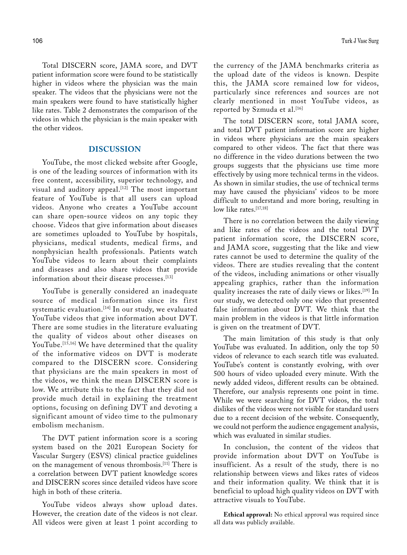Total DISCERN score, JAMA score, and DVT patient information score were found to be statistically higher in videos where the physician was the main speaker. The videos that the physicians were not the main speakers were found to have statistically higher like rates. Table 2 demonstrates the comparison of the videos in which the physician is the main speaker with the other videos.

## **DISCUSSION**

YouTube, the most clicked website after Google, is one of the leading sources of information with its free content, accessibility, superior technology, and visual and auditory appeal.<sup>[12]</sup> The most important feature of YouTube is that all users can upload videos. Anyone who creates a YouTube account can share open-source videos on any topic they choose. Videos that give information about diseases are sometimes uploaded to YouTube by hospitals, physicians, medical students, medical firms, and nonphysician health professionals. Patients watch YouTube videos to learn about their complaints and diseases and also share videos that provide information about their disease processes.<sup>[13]</sup>

YouTube is generally considered an inadequate source of medical information since its first systematic evaluation.<sup>[14]</sup> In our study, we evaluated YouTube videos that give information about DVT. There are some studies in the literature evaluating the quality of videos about other diseases on YouTube.<sup>[15,16]</sup> We have determined that the quality of the informative videos on DVT is moderate compared to the DISCERN score. Considering that physicians are the main speakers in most of the videos, we think the mean DISCERN score is low. We attribute this to the fact that they did not provide much detail in explaining the treatment options, focusing on defining DVT and devoting a significant amount of video time to the pulmonary embolism mechanism.

The DVT patient information score is a scoring system based on the 2021 European Society for Vascular Surgery (ESVS) clinical practice guidelines on the management of venous thrombosis.[11] There is a correlation between DVT patient knowledge scores and DISCERN scores since detailed videos have score high in both of these criteria.

YouTube videos always show upload dates. However, the creation date of the videos is not clear. All videos were given at least 1 point according to the currency of the JAMA benchmarks criteria as the upload date of the videos is known. Despite this, the JAMA score remained low for videos, particularly since references and sources are not clearly mentioned in most YouTube videos, as reported by Szmuda et al.<sup>[16]</sup>

The total DISCERN score, total JAMA score, and total DVT patient information score are higher in videos where physicians are the main speakers compared to other videos. The fact that there was no difference in the video durations between the two groups suggests that the physicians use time more effectively by using more technical terms in the videos. As shown in similar studies, the use of technical terms may have caused the physicians' videos to be more difficult to understand and more boring, resulting in  $low$  like rates.<sup>[17,18]</sup>

There is no correlation between the daily viewing and like rates of the videos and the total DVT patient information score, the DISCERN score, and JAMA score, suggesting that the like and view rates cannot be used to determine the quality of the videos. There are studies revealing that the content of the videos, including animations or other visually appealing graphics, rather than the information quality increases the rate of daily views or likes.[19] In our study, we detected only one video that presented false information about DVT. We think that the main problem in the videos is that little information is given on the treatment of DVT.

The main limitation of this study is that only YouTube was evaluated. In addition, only the top 50 videos of relevance to each search title was evaluated. YouTube's content is constantly evolving, with over 500 hours of video uploaded every minute. With the newly added videos, different results can be obtained. Therefore, our analysis represents one point in time. While we were searching for DVT videos, the total dislikes of the videos were not visible for standard users due to a recent decision of the website. Consequently, we could not perform the audience engagement analysis, which was evaluated in similar studies.

In conclusion, the content of the videos that provide information about DVT on YouTube is insufficient. As a result of the study, there is no relationship between views and likes rates of videos and their information quality. We think that it is beneficial to upload high quality videos on DVT with attractive visuals to YouTube.

**Ethical approval:** No ethical approval was required since all data was publicly available.